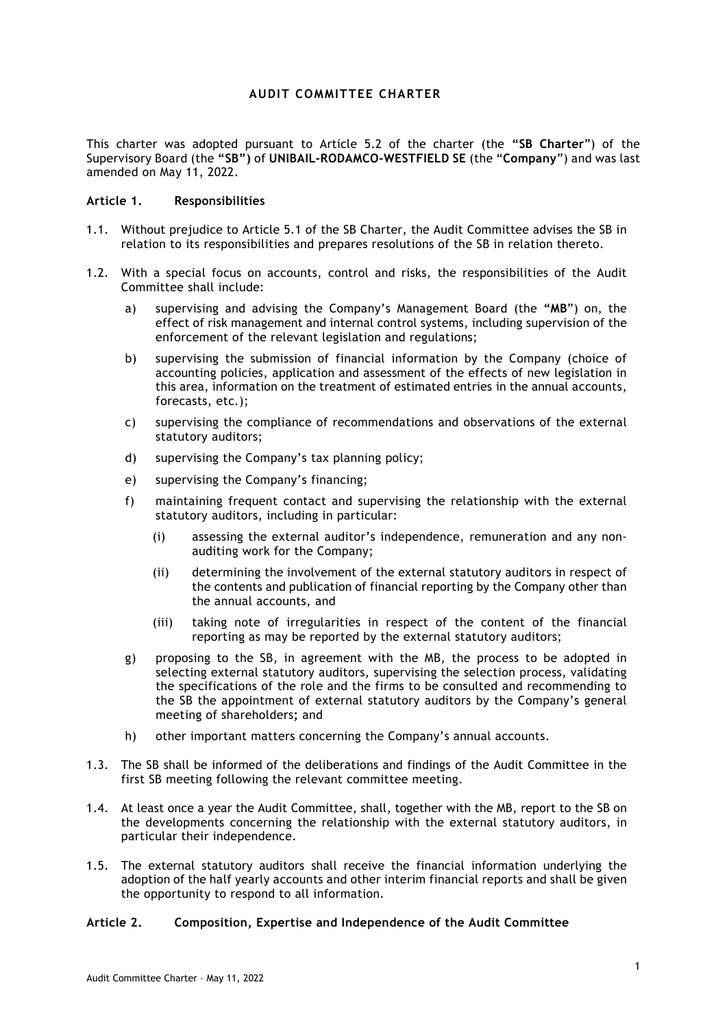# **AUDIT COMMITTEE CHARTER**

This charter was adopted pursuant to Article 5.2 of the charter (the **"SB Charter**") of the Supervisory Board (the **"SB")** of **UNIBAIL-RODAMCO-WESTFIELD SE** (the "**Company**") and was last amended on May 11, 2022.

#### **Article 1. Responsibilities**

- 1.1. Without prejudice to Article 5.1 of the SB Charter, the Audit Committee advises the SB in relation to its responsibilities and prepares resolutions of the SB in relation thereto.
- 1.2. With a special focus on accounts, control and risks, the responsibilities of the Audit Committee shall include:
	- a) supervising and advising the Company's Management Board (the **"MB**") on, the effect of risk management and internal control systems, including supervision of the enforcement of the relevant legislation and regulations;
	- b) supervising the submission of financial information by the Company (choice of accounting policies, application and assessment of the effects of new legislation in this area, information on the treatment of estimated entries in the annual accounts, forecasts, etc.);
	- c) supervising the compliance of recommendations and observations of the external statutory auditors;
	- d) supervising the Company's tax planning policy;
	- e) supervising the Company's financing;
	- f) maintaining frequent contact and supervising the relationship with the external statutory auditors, including in particular:
		- (i) assessing the external auditor's independence, remuneration and any nonauditing work for the Company;
		- (ii) determining the involvement of the external statutory auditors in respect of the contents and publication of financial reporting by the Company other than the annual accounts, and
		- (iii) taking note of irregularities in respect of the content of the financial reporting as may be reported by the external statutory auditors;
	- g) proposing to the SB, in agreement with the MB, the process to be adopted in selecting external statutory auditors, supervising the selection process, validating the specifications of the role and the firms to be consulted and recommending to the SB the appointment of external statutory auditors by the Company's general meeting of shareholders**;** and
	- h) other important matters concerning the Company's annual accounts.
- 1.3. The SB shall be informed of the deliberations and findings of the Audit Committee in the first SB meeting following the relevant committee meeting.
- 1.4. At least once a year the Audit Committee, shall, together with the MB, report to the SB on the developments concerning the relationship with the external statutory auditors, in particular their independence.
- 1.5. The external statutory auditors shall receive the financial information underlying the adoption of the half yearly accounts and other interim financial reports and shall be given the opportunity to respond to all information.

# **Article 2. Composition, Expertise and Independence of the Audit Committee**